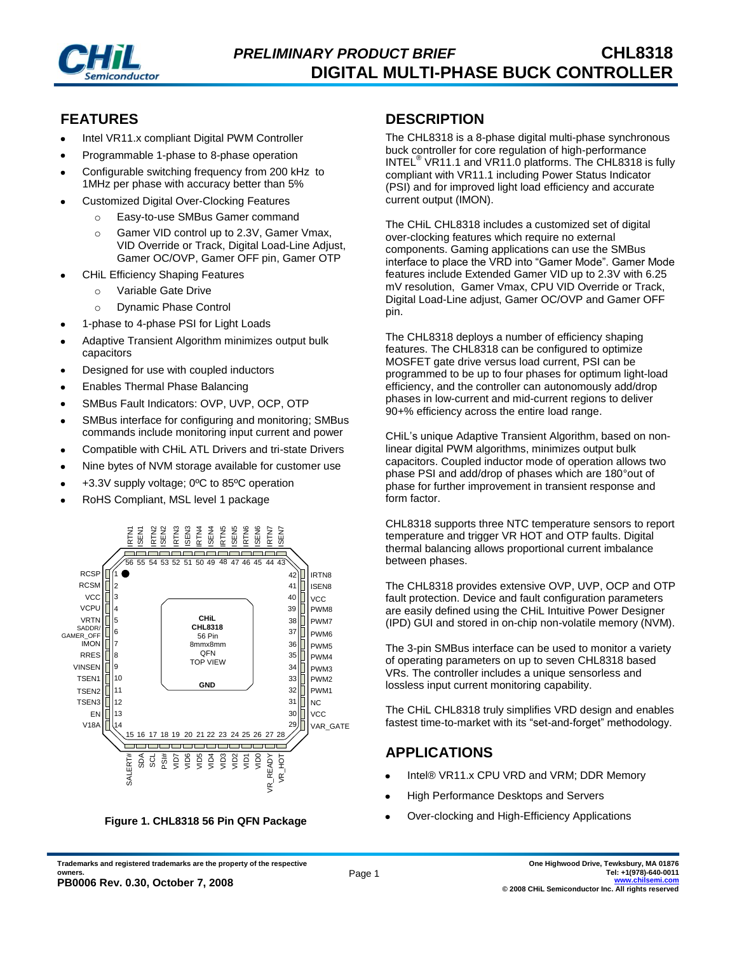

### **FEATURES**

- Intel VR11.x compliant Digital PWM Controller
- Programmable 1-phase to 8-phase operation
- Configurable switching frequency from 200 kHz to 1MHz per phase with accuracy better than 5%
- Customized Digital Over-Clocking Features
	- o Easy-to-use SMBus Gamer command
	- o Gamer VID control up to 2.3V, Gamer Vmax, VID Override or Track, Digital Load-Line Adjust, Gamer OC/OVP, Gamer OFF pin, Gamer OTP
- CHiL Efficiency Shaping Features
	- o Variable Gate Drive
	- o Dynamic Phase Control
- 1-phase to 4-phase PSI for Light Loads
- Adaptive Transient Algorithm minimizes output bulk capacitors
- Designed for use with coupled inductors
- Enables Thermal Phase Balancing
- SMBus Fault Indicators: OVP, UVP, OCP, OTP
- SMBus interface for configuring and monitoring; SMBus commands include monitoring input current and power
- Compatible with CHiL ATL Drivers and tri-state Drivers
- Nine bytes of NVM storage available for customer use
- +3.3V supply voltage; 0ºC to 85ºC operation
- RoHS Compliant, MSL level 1 package



**Figure 1. CHL8318 56 Pin QFN Package**

#### **DESCRIPTION**

The CHL8318 is a 8-phase digital multi-phase synchronous buck controller for core regulation of high-performance INTEL® VR11.1 and VR11.0 platforms. The CHL8318 is fully compliant with VR11.1 including Power Status Indicator (PSI) and for improved light load efficiency and accurate current output (IMON).

The CHiL CHL8318 includes a customized set of digital over-clocking features which require no external components. Gaming applications can use the SMBus interface to place the VRD into "Gamer Mode". Gamer Mode features include Extended Gamer VID up to 2.3V with 6.25 mV resolution, Gamer Vmax, CPU VID Override or Track, Digital Load-Line adjust, Gamer OC/OVP and Gamer OFF pin.

The CHL8318 deploys a number of efficiency shaping features. The CHL8318 can be configured to optimize MOSFET gate drive versus load current, PSI can be programmed to be up to four phases for optimum light-load efficiency, and the controller can autonomously add/drop phases in low-current and mid-current regions to deliver 90+% efficiency across the entire load range.

CHiL's unique Adaptive Transient Algorithm, based on nonlinear digital PWM algorithms, minimizes output bulk capacitors. Coupled inductor mode of operation allows two phase PSI and add/drop of phases which are 180°out of phase for further improvement in transient response and form factor.

CHL8318 supports three NTC temperature sensors to report temperature and trigger VR HOT and OTP faults. Digital thermal balancing allows proportional current imbalance between phases.

The CHL8318 provides extensive OVP, UVP, OCP and OTP fault protection. Device and fault configuration parameters are easily defined using the CHiL Intuitive Power Designer (IPD) GUI and stored in on-chip non-volatile memory (NVM).

The 3-pin SMBus interface can be used to monitor a variety of operating parameters on up to seven CHL8318 based VRs. The controller includes a unique sensorless and lossless input current monitoring capability.

The CHiL CHL8318 truly simplifies VRD design and enables fastest time-to-market with its "set-and-forget" methodology.

# **APPLICATIONS**

- Intel® VR11.x CPU VRD and VRM; DDR Memory
- High Performance Desktops and Servers  $\bullet$
- Over-clocking and High-Efficiency Applications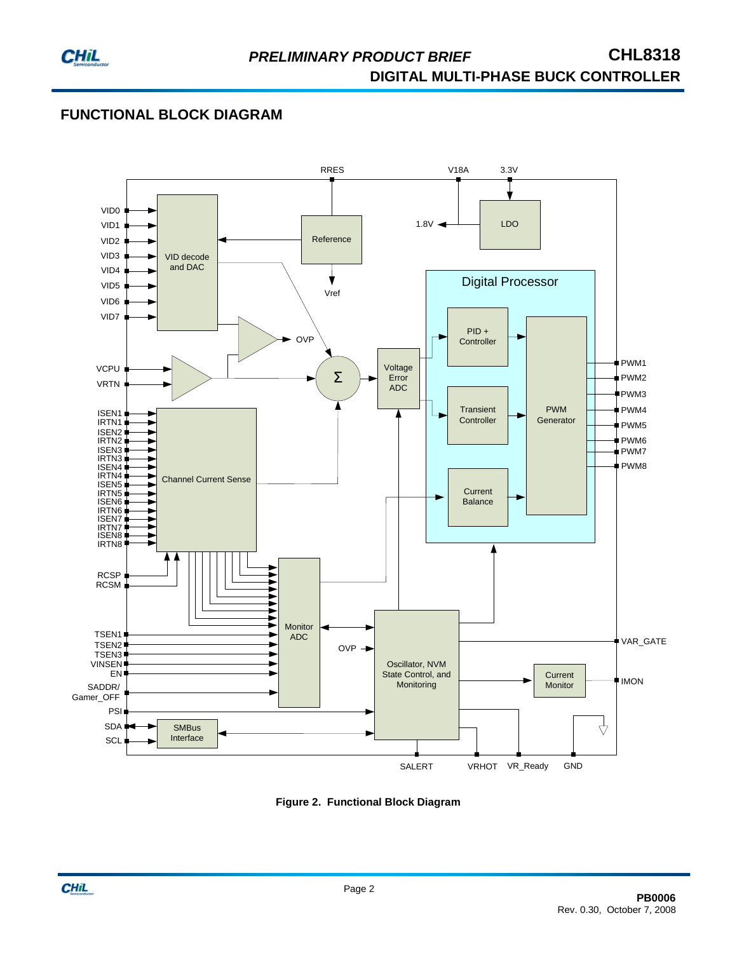

## **FUNCTIONAL BLOCK DIAGRAM**



**Figure 2. Functional Block Diagram**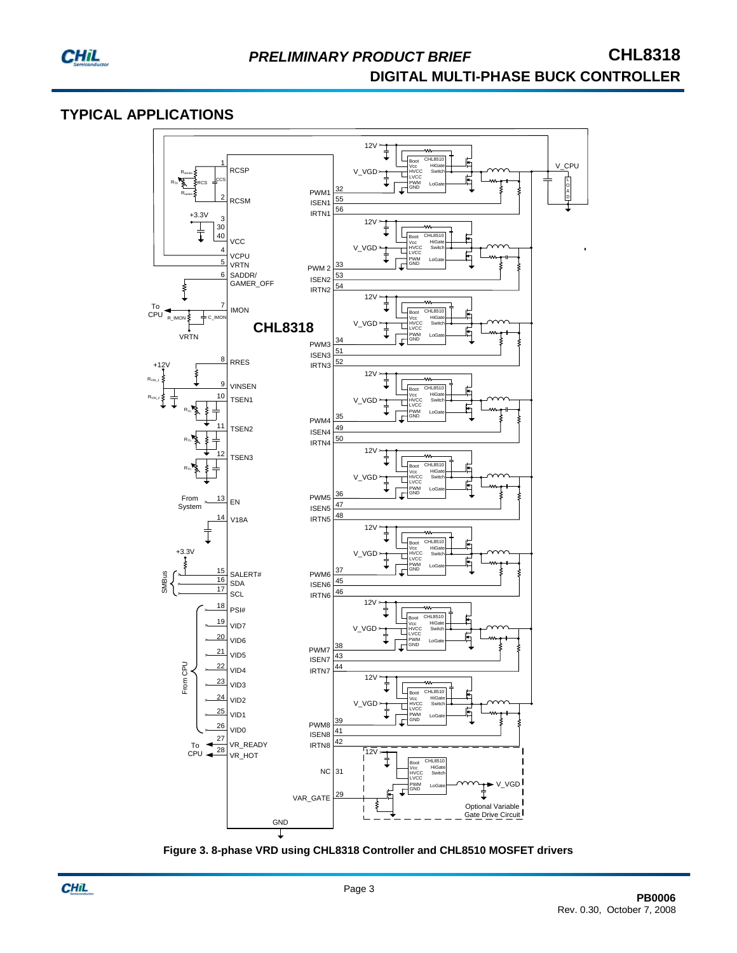

### **TYPICAL APPLICATIONS**



**Figure 3. 8-phase VRD using CHL8318 Controller and CHL8510 MOSFET drivers**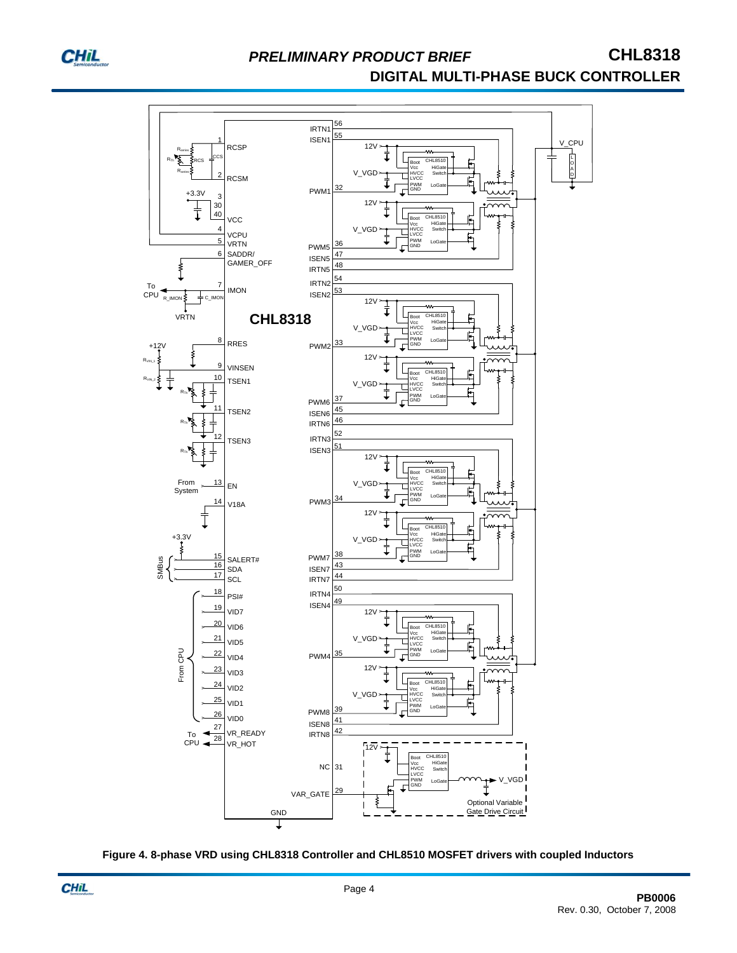

# **PRELIMINARY PRODUCT BRIEF CHL8318 DIGITAL MULTI-PHASE BUCK CONTROLLER**



**Figure 4. 8-phase VRD using CHL8318 Controller and CHL8510 MOSFET drivers with coupled Inductors**